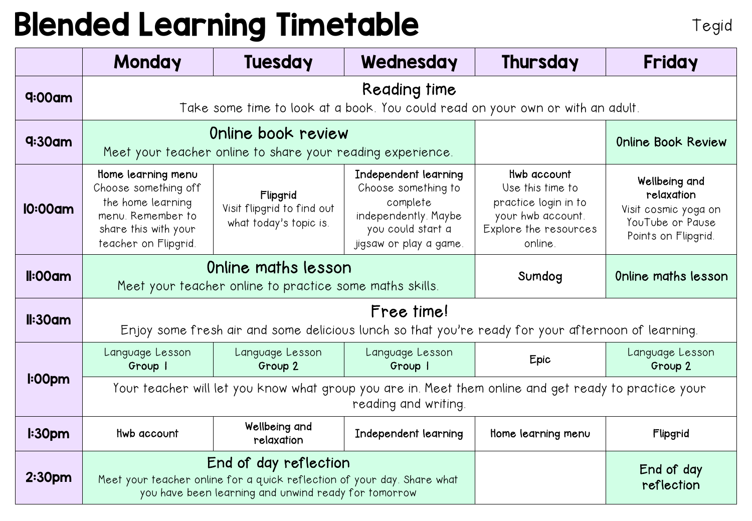## Blended Learning Timetable

|                    | Monday                                                                                                                                                   | <b>Tuesday</b>                                                   | Wednesday                                                                                                                      | <b>Thursday</b>                                                                                                  | Friday                                                                                         |  |  |
|--------------------|----------------------------------------------------------------------------------------------------------------------------------------------------------|------------------------------------------------------------------|--------------------------------------------------------------------------------------------------------------------------------|------------------------------------------------------------------------------------------------------------------|------------------------------------------------------------------------------------------------|--|--|
| $q:00$ am          | Reading time<br>Take some time to look at a book. You could read on your own or with an adult.                                                           |                                                                  |                                                                                                                                |                                                                                                                  |                                                                                                |  |  |
| $q:30$ am          | Online book review<br>Meet your teacher online to share your reading experience.                                                                         |                                                                  |                                                                                                                                |                                                                                                                  | <b>Online Book Review</b>                                                                      |  |  |
| 10:00am            | Home learning menu<br>Choose something off<br>the home learning<br>menu. Remember to<br>share this with your<br>teacher on Flipgrid.                     | Flipgrid<br>Visit flipgrid to find out<br>what today's topic is. | Independent learning<br>Choose something to<br>complete<br>independently. Maybe<br>you could start a<br>jigsaw or play a game. | Hwb account<br>Use this time to<br>practice login in to<br>your hwb account.<br>Explore the resources<br>online. | Wellbeing and<br>relaxation<br>Visit cosmic yoga on<br>YouTube or Pause<br>Points on Flipgrid. |  |  |
| $II:00$ am         | Online maths lesson<br>Meet your teacher online to practice some maths skills.                                                                           |                                                                  |                                                                                                                                | Sumdog                                                                                                           | Online maths lesson                                                                            |  |  |
| $II:30$ am         | Free time!<br>Enjoy some fresh air and some delicious lunch so that you're ready for your afternoon of learning.                                         |                                                                  |                                                                                                                                |                                                                                                                  |                                                                                                |  |  |
| I:00 <sub>pm</sub> | Language Lesson<br>Group I                                                                                                                               | Language Lesson<br>Group 2                                       | Language Lesson<br>Group I                                                                                                     | Epic                                                                                                             | Language Lesson<br>Group 2                                                                     |  |  |
|                    | Your teacher will let you know what group you are in. Meet them online and get ready to practice your<br>reading and writing.                            |                                                                  |                                                                                                                                |                                                                                                                  |                                                                                                |  |  |
| l:30 <sub>pm</sub> | Hwb account                                                                                                                                              | Wellbeing and<br>relaxation                                      | Independent learning                                                                                                           | Home learning menu                                                                                               | Flipgrid                                                                                       |  |  |
| 2:30 <sub>pm</sub> | End of day reflection<br>Meet your teacher online for a quick reflection of your day. Share what<br>you have been learning and unwind ready for tomorrow |                                                                  |                                                                                                                                |                                                                                                                  | End of day<br>reflection                                                                       |  |  |

Tegid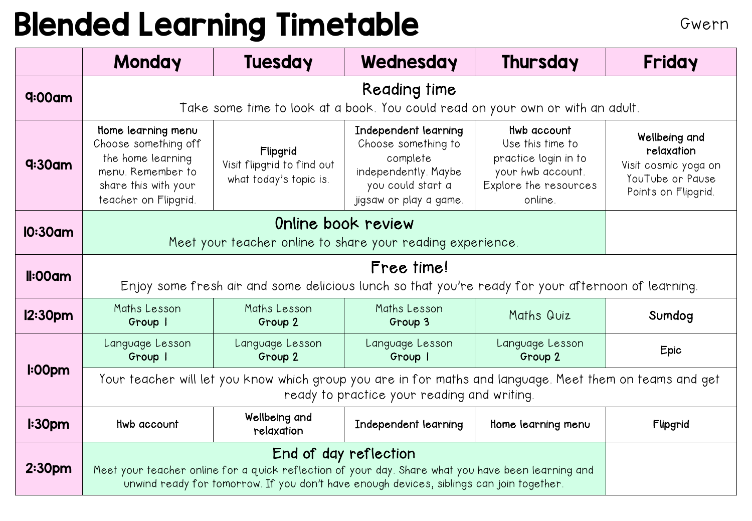## Blended Learning Timetable Gwern

|                     | Monday                                                                                                                                                                                         | <b>Tuesday</b>                                                   | Wednesday                                                                                                                      | Thursday                                                                                                         | Friday                                                                                         |  |
|---------------------|------------------------------------------------------------------------------------------------------------------------------------------------------------------------------------------------|------------------------------------------------------------------|--------------------------------------------------------------------------------------------------------------------------------|------------------------------------------------------------------------------------------------------------------|------------------------------------------------------------------------------------------------|--|
| $q:00$ am           | Take some time to look at a book. You could read on your own or with an adult.                                                                                                                 |                                                                  |                                                                                                                                |                                                                                                                  |                                                                                                |  |
| $q:30$ am           | Home learning menu<br>Choose something off<br>the home learning<br>menu. Remember to<br>share this with your<br>teacher on Flipgrid.                                                           | Flipgrid<br>Visit flipgrid to find out<br>what today's topic is. | Independent learning<br>Choose something to<br>complete<br>independently. Maybe<br>you could start a<br>jigsaw or play a game. | Hwb account<br>Use this time to<br>practice login in to<br>your hwb account.<br>Explore the resources<br>online. | Wellbeing and<br>relaxation<br>Visit cosmic yoga on<br>YouTube or Pause<br>Points on Flipgrid. |  |
| <b>10:30am</b>      | Meet your teacher online to share your reading experience.                                                                                                                                     |                                                                  |                                                                                                                                |                                                                                                                  |                                                                                                |  |
| $II:00$ am          | Free time!<br>Enjoy some fresh air and some delicious lunch so that you're ready for your afternoon of learning.                                                                               |                                                                  |                                                                                                                                |                                                                                                                  |                                                                                                |  |
| 12:30 <sub>pm</sub> | Maths Lesson<br>Group I                                                                                                                                                                        | Maths Lesson<br>Group 2                                          | Maths Lesson<br>Group 3                                                                                                        | Maths Quiz                                                                                                       | Sumdog                                                                                         |  |
| I:00 <sub>pm</sub>  | Language Lesson<br>Group I                                                                                                                                                                     | Language Lesson<br>Group 2                                       | Language Lesson<br>Group                                                                                                       | Language Lesson<br>Group 2                                                                                       | Epic                                                                                           |  |
|                     | Your teacher will let you know which group you are in for maths and language. Meet them on teams and get<br>ready to practice your reading and writing.                                        |                                                                  |                                                                                                                                |                                                                                                                  |                                                                                                |  |
| l:30 <sub>pm</sub>  | Hwb account                                                                                                                                                                                    | Wellbeing and<br>relaxation                                      | Independent learning                                                                                                           | Home learning menu                                                                                               | Flipgrid                                                                                       |  |
| 2:30 <sub>pm</sub>  | Meet your teacher online for a quick reflection of your day. Share what you have been learning and<br>unwind ready for tomorrow. If you don't have enough devices, siblings can join together. |                                                                  |                                                                                                                                |                                                                                                                  |                                                                                                |  |